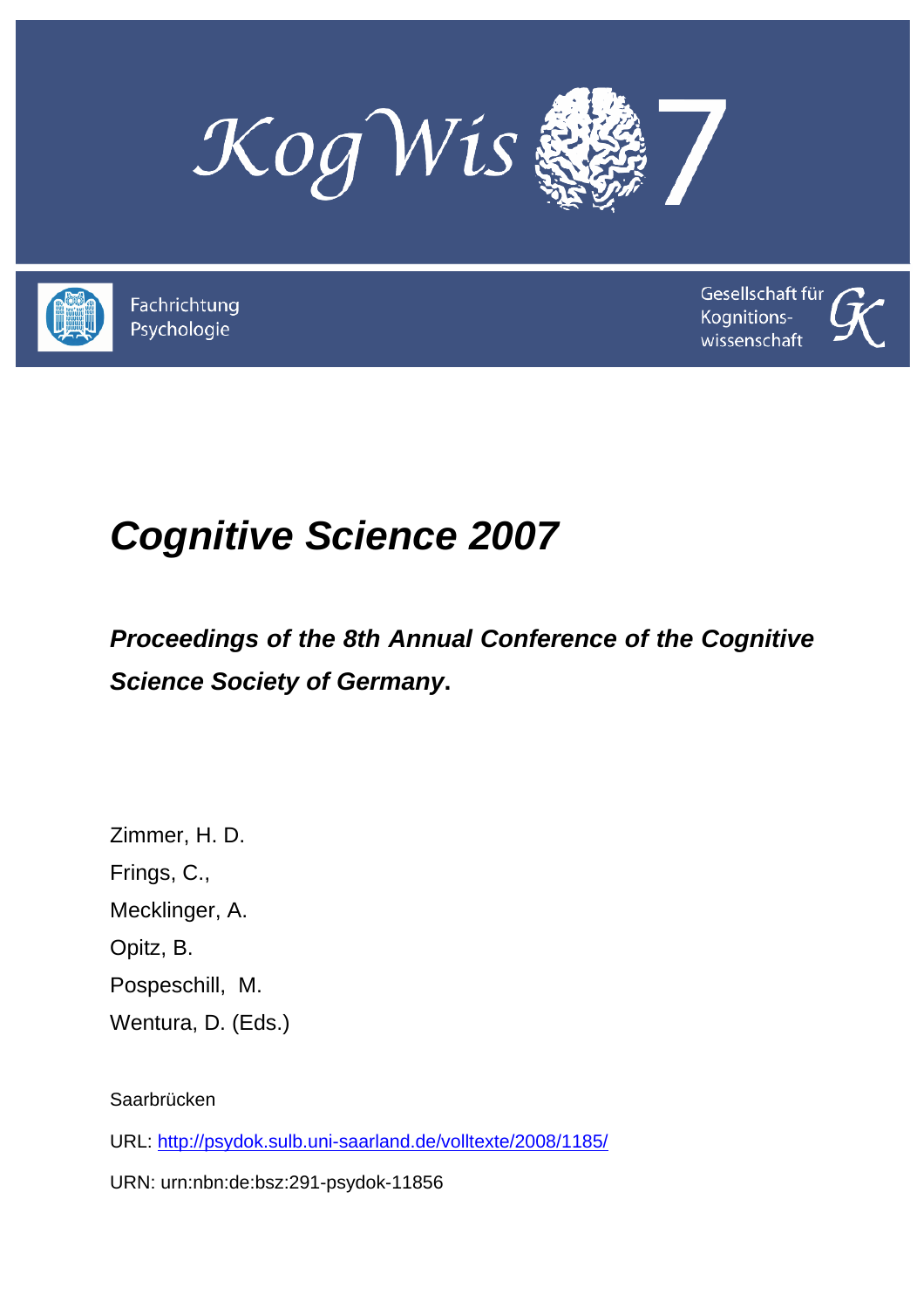



Fachrichtung Psychologie



# *Cognitive Science 2007*

## *Proceedings of the 8th Annual Conference of the Cognitive Science Society of Germany***.**

Zimmer, H. D. Frings, C., Mecklinger, A. Opitz, B. Pospeschill, M. Wentura, D. (Eds.)

Saarbrücken

URL: http://psydok.sulb.uni-saarland.de/volltexte/2008/1185/

URN: urn:nbn:de:bsz:291-psydok-11856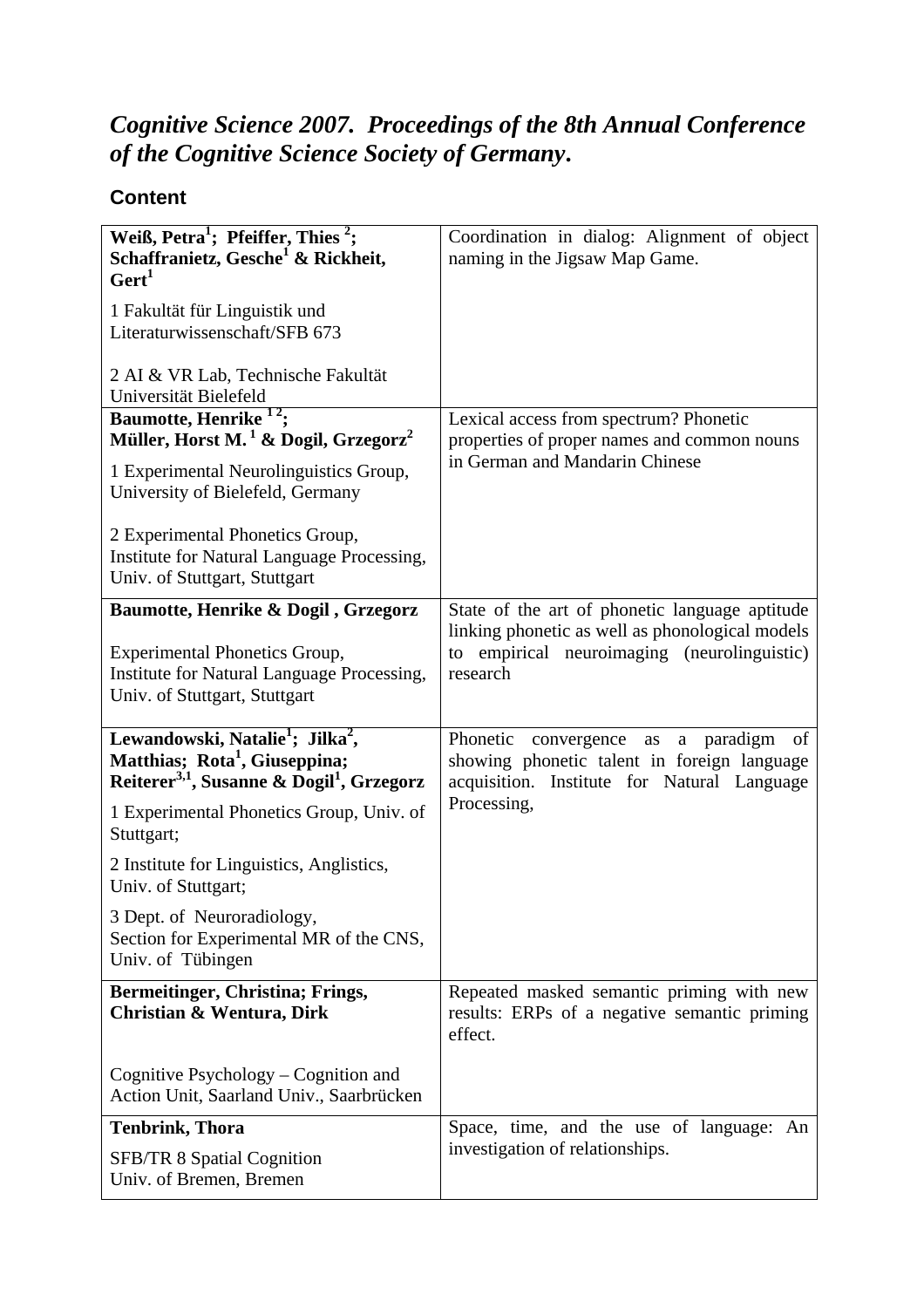### *Cognitive Science 2007. Proceedings of the 8th Annual Conference of the Cognitive Science Society of Germany***.**

#### **Content**

| Weiß, Petra <sup>1</sup> ; Pfeiffer, Thies <sup>2</sup> ;<br>Schaffranietz, Gesche <sup>1</sup> & Rickheit,<br>Gert <sup>1</sup><br>1 Fakultät für Linguistik und<br>Literaturwissenschaft/SFB 673 | Coordination in dialog: Alignment of object<br>naming in the Jigsaw Map Game.                                                          |
|----------------------------------------------------------------------------------------------------------------------------------------------------------------------------------------------------|----------------------------------------------------------------------------------------------------------------------------------------|
| 2 AI & VR Lab, Technische Fakultät<br>Universität Bielefeld                                                                                                                                        |                                                                                                                                        |
| Baumotte, Henrike <sup>12</sup> ;                                                                                                                                                                  | Lexical access from spectrum? Phonetic                                                                                                 |
| Müller, Horst M. <sup>1</sup> & Dogil, Grzegorz <sup>2</sup><br>1 Experimental Neurolinguistics Group,<br>University of Bielefeld, Germany                                                         | properties of proper names and common nouns<br>in German and Mandarin Chinese                                                          |
| 2 Experimental Phonetics Group,<br>Institute for Natural Language Processing,<br>Univ. of Stuttgart, Stuttgart                                                                                     |                                                                                                                                        |
| Baumotte, Henrike & Dogil, Grzegorz                                                                                                                                                                | State of the art of phonetic language aptitude                                                                                         |
| <b>Experimental Phonetics Group,</b><br>Institute for Natural Language Processing,<br>Univ. of Stuttgart, Stuttgart                                                                                | linking phonetic as well as phonological models<br>to empirical neuroimaging (neurolinguistic)<br>research                             |
| Lewandowski, Natalie <sup>1</sup> ; Jilka <sup>2</sup> ,<br>Matthias; Rota <sup>1</sup> , Giuseppina;<br>Reiterer <sup>3,1</sup> , Susanne & Dogil <sup>1</sup> , Grzegorz                         | Phonetic convergence as a paradigm<br>of<br>showing phonetic talent in foreign language<br>acquisition. Institute for Natural Language |
| 1 Experimental Phonetics Group, Univ. of<br>Stuttgart;                                                                                                                                             | Processing,                                                                                                                            |
| 2 Institute for Linguistics, Anglistics,<br>Univ. of Stuttgart;                                                                                                                                    |                                                                                                                                        |
| 3 Dept. of Neuroradiology,<br>Section for Experimental MR of the CNS,<br>Univ. of Tübingen                                                                                                         |                                                                                                                                        |
| Bermeitinger, Christina; Frings,<br>Christian & Wentura, Dirk                                                                                                                                      | Repeated masked semantic priming with new<br>results: ERPs of a negative semantic priming<br>effect.                                   |
| Cognitive Psychology – Cognition and<br>Action Unit, Saarland Univ., Saarbrücken                                                                                                                   |                                                                                                                                        |
| <b>Tenbrink, Thora</b>                                                                                                                                                                             | Space, time, and the use of language: An                                                                                               |
| <b>SFB/TR 8 Spatial Cognition</b><br>Univ. of Bremen, Bremen                                                                                                                                       | investigation of relationships.                                                                                                        |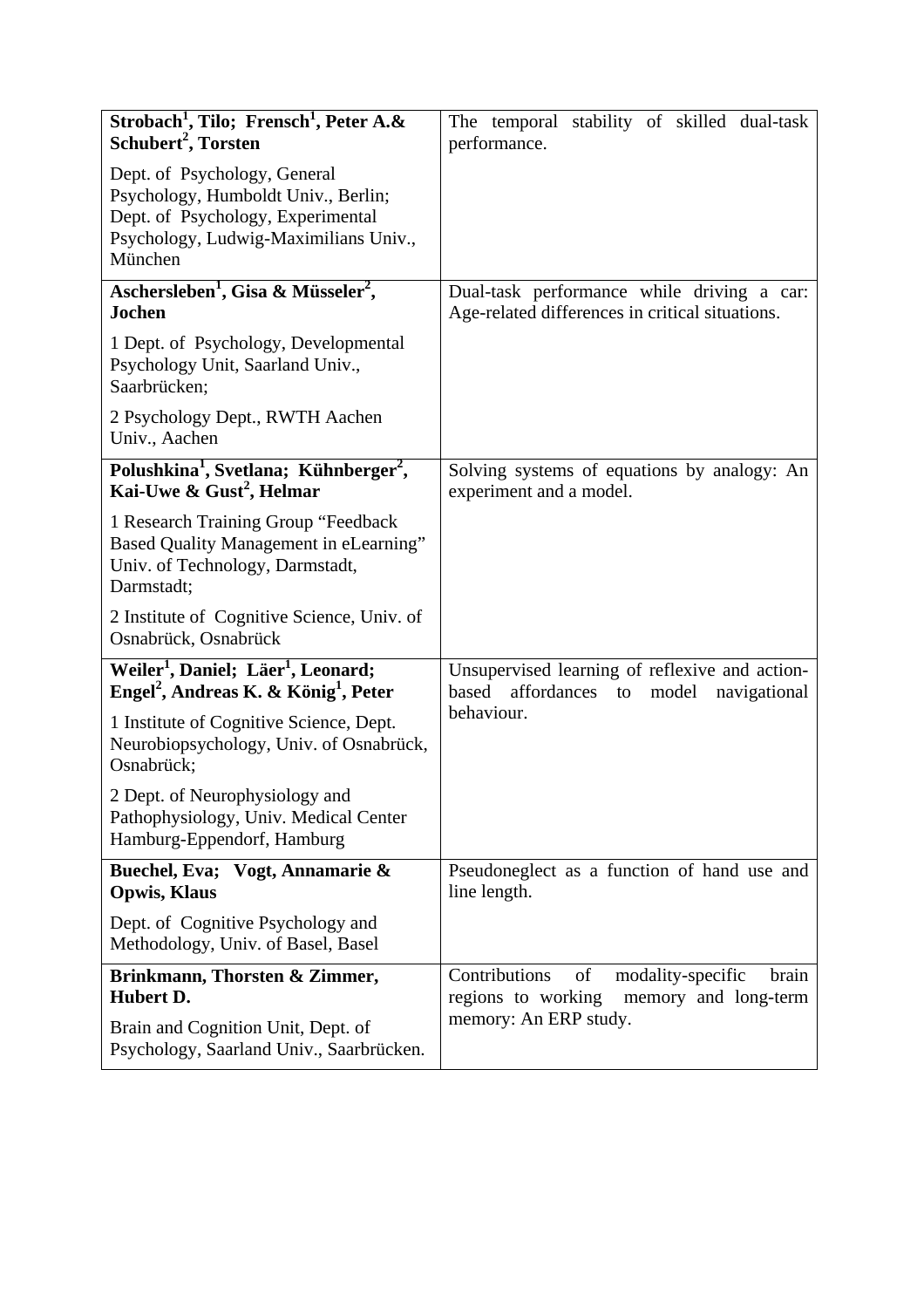| Strobach <sup>1</sup> , Tilo; Frensch <sup>1</sup> , Peter A.&<br>Schubert <sup>2</sup> , Torsten                                                            | The temporal stability of skilled dual-task<br>performance.                                        |
|--------------------------------------------------------------------------------------------------------------------------------------------------------------|----------------------------------------------------------------------------------------------------|
| Dept. of Psychology, General<br>Psychology, Humboldt Univ., Berlin;<br>Dept. of Psychology, Experimental<br>Psychology, Ludwig-Maximilians Univ.,<br>München |                                                                                                    |
| Aschersleben <sup>1</sup> , Gisa & Müsseler <sup>2</sup> ,<br><b>Jochen</b>                                                                                  | Dual-task performance while driving a car:<br>Age-related differences in critical situations.      |
| 1 Dept. of Psychology, Developmental<br>Psychology Unit, Saarland Univ.,<br>Saarbrücken;                                                                     |                                                                                                    |
| 2 Psychology Dept., RWTH Aachen<br>Univ., Aachen                                                                                                             |                                                                                                    |
| Polushkina <sup>1</sup> , Svetlana; Kühnberger <sup>2</sup> ,<br>Kai-Uwe & Gust <sup>2</sup> , Helmar                                                        | Solving systems of equations by analogy: An<br>experiment and a model.                             |
| 1 Research Training Group "Feedback<br>Based Quality Management in eLearning"<br>Univ. of Technology, Darmstadt,<br>Darmstadt;                               |                                                                                                    |
| 2 Institute of Cognitive Science, Univ. of<br>Osnabrück, Osnabrück                                                                                           |                                                                                                    |
| Weiler <sup>1</sup> , Daniel; Läer <sup>1</sup> , Leonard;<br>Engel <sup>2</sup> , Andreas K. & König <sup>1</sup> , Peter                                   | Unsupervised learning of reflexive and action-<br>affordances to<br>model<br>based<br>navigational |
| 1 Institute of Cognitive Science, Dept.<br>Neurobiopsychology, Univ. of Osnabrück,<br>Osnabrück;                                                             | behaviour.                                                                                         |
| 2 Dept. of Neurophysiology and<br>Pathophysiology, Univ. Medical Center<br>Hamburg-Eppendorf, Hamburg                                                        |                                                                                                    |
| Buechel, Eva; Vogt, Annamarie &<br><b>Opwis, Klaus</b>                                                                                                       | Pseudoneglect as a function of hand use and<br>line length.                                        |
| Dept. of Cognitive Psychology and<br>Methodology, Univ. of Basel, Basel                                                                                      |                                                                                                    |
| Brinkmann, Thorsten & Zimmer,<br>Hubert D.                                                                                                                   | Contributions<br>of<br>modality-specific<br>brain<br>regions to working<br>memory and long-term    |
| Brain and Cognition Unit, Dept. of<br>Psychology, Saarland Univ., Saarbrücken.                                                                               | memory: An ERP study.                                                                              |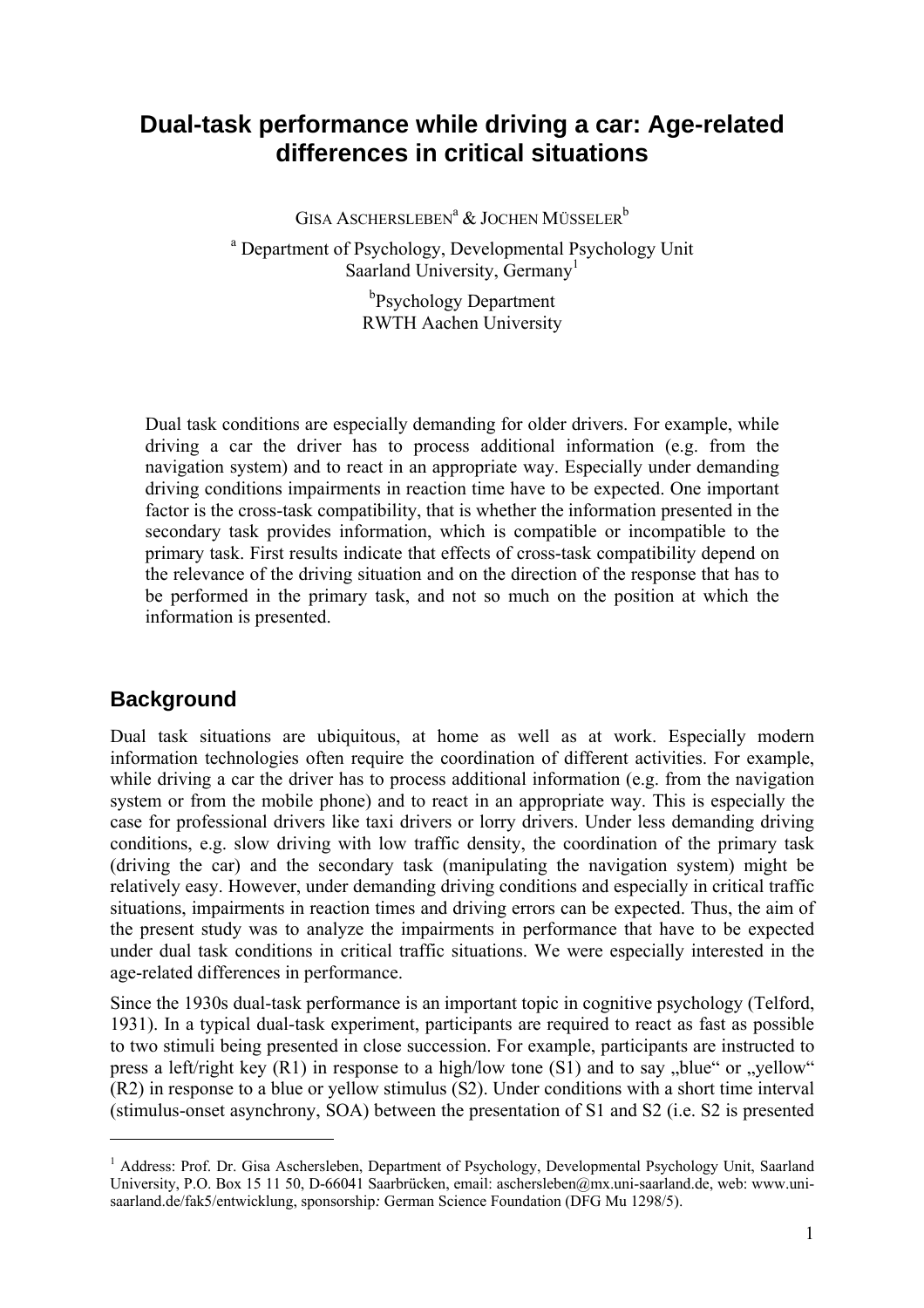#### **Dual-task performance while driving a car: Age-related differences in critical situations**

GISA ASCHERSLEBEN<sup>a</sup> & JOCHEN MÜSSELER<sup>b</sup>

<sup>a</sup> Department of Psychology, Developmental Psychology Unit Saarland University, Germany<sup>1</sup>

> <sup>b</sup>Psychology Department RWTH Aachen University

Dual task conditions are especially demanding for older drivers. For example, while driving a car the driver has to process additional information (e.g. from the navigation system) and to react in an appropriate way. Especially under demanding driving conditions impairments in reaction time have to be expected. One important factor is the cross-task compatibility, that is whether the information presented in the secondary task provides information, which is compatible or incompatible to the primary task. First results indicate that effects of cross-task compatibility depend on the relevance of the driving situation and on the direction of the response that has to be performed in the primary task, and not so much on the position at which the information is presented.

#### **Background**

 $\overline{a}$ 

Dual task situations are ubiquitous, at home as well as at work. Especially modern information technologies often require the coordination of different activities. For example, while driving a car the driver has to process additional information (e.g. from the navigation system or from the mobile phone) and to react in an appropriate way. This is especially the case for professional drivers like taxi drivers or lorry drivers. Under less demanding driving conditions, e.g. slow driving with low traffic density, the coordination of the primary task (driving the car) and the secondary task (manipulating the navigation system) might be relatively easy. However, under demanding driving conditions and especially in critical traffic situations, impairments in reaction times and driving errors can be expected. Thus, the aim of the present study was to analyze the impairments in performance that have to be expected under dual task conditions in critical traffic situations. We were especially interested in the age-related differences in performance.

Since the 1930s dual-task performance is an important topic in cognitive psychology (Telford, 1931). In a typical dual-task experiment, participants are required to react as fast as possible to two stimuli being presented in close succession. For example, participants are instructed to press a left/right key  $(R1)$  in response to a high/low tone  $(S1)$  and to say "blue" or "yellow" (R2) in response to a blue or yellow stimulus (S2). Under conditions with a short time interval (stimulus-onset asynchrony, SOA) between the presentation of S1 and S2 (i.e. S2 is presented

<sup>&</sup>lt;sup>1</sup> Address: Prof. Dr. Gisa Aschersleben, Department of Psychology, Developmental Psychology Unit, Saarland University, P.O. Box 15 11 50, D-66041 Saarbrücken, email: aschersleben@mx.uni-saarland.de, web: www.unisaarland.de/fak5/entwicklung, sponsorship*:* German Science Foundation (DFG Mu 1298/5).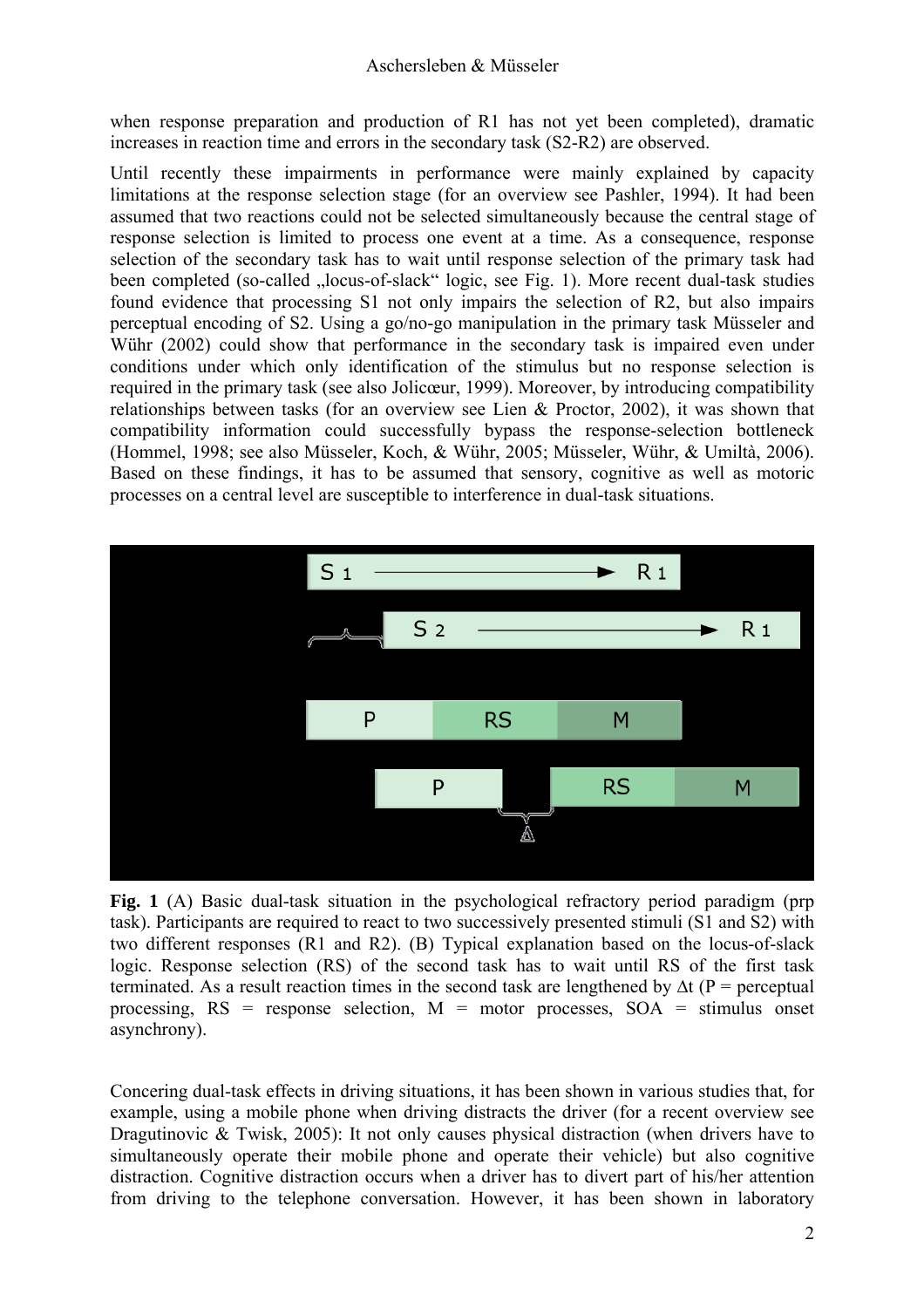when response preparation and production of R1 has not yet been completed), dramatic increases in reaction time and errors in the secondary task (S2-R2) are observed.

Until recently these impairments in performance were mainly explained by capacity limitations at the response selection stage (for an overview see Pashler, 1994). It had been assumed that two reactions could not be selected simultaneously because the central stage of response selection is limited to process one event at a time. As a consequence, response selection of the secondary task has to wait until response selection of the primary task had been completed (so-called "locus-of-slack" logic, see Fig. 1). More recent dual-task studies found evidence that processing S1 not only impairs the selection of R2, but also impairs perceptual encoding of S2. Using a go/no-go manipulation in the primary task Müsseler and Wühr (2002) could show that performance in the secondary task is impaired even under conditions under which only identification of the stimulus but no response selection is required in the primary task (see also Jolicœur, 1999). Moreover, by introducing compatibility relationships between tasks (for an overview see Lien & Proctor, 2002), it was shown that compatibility information could successfully bypass the response-selection bottleneck (Hommel, 1998; see also Müsseler, Koch, & Wühr, 2005; Müsseler, Wühr, & Umiltà, 2006). Based on these findings, it has to be assumed that sensory, cognitive as well as motoric processes on a central level are susceptible to interference in dual-task situations.



**Fig. 1** (A) Basic dual-task situation in the psychological refractory period paradigm (prp task). Participants are required to react to two successively presented stimuli (S1 and S2) with two different responses (R1 and R2). (B) Typical explanation based on the locus-of-slack logic. Response selection (RS) of the second task has to wait until RS of the first task terminated. As a result reaction times in the second task are lengthened by  $\Delta t$  (P = perceptual processing,  $RS =$  response selection,  $M =$  motor processes,  $SOA =$  stimulus onset asynchrony).

Concering dual-task effects in driving situations, it has been shown in various studies that, for example, using a mobile phone when driving distracts the driver (for a recent overview see Dragutinovic & Twisk, 2005): It not only causes physical distraction (when drivers have to simultaneously operate their mobile phone and operate their vehicle) but also cognitive distraction. Cognitive distraction occurs when a driver has to divert part of his/her attention from driving to the telephone conversation. However, it has been shown in laboratory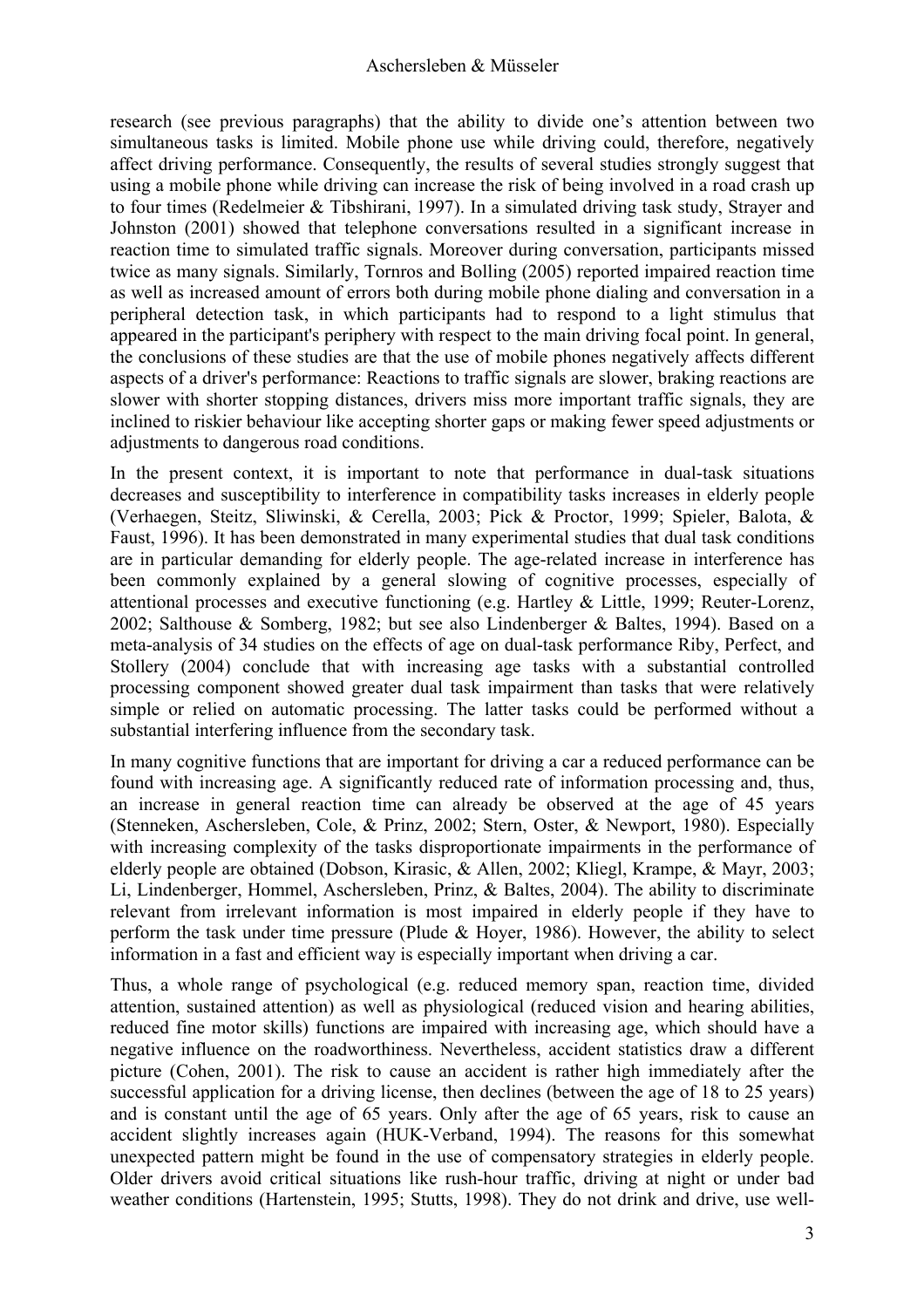research (see previous paragraphs) that the ability to divide one's attention between two simultaneous tasks is limited. Mobile phone use while driving could, therefore, negatively affect driving performance. Consequently, the results of several studies strongly suggest that using a mobile phone while driving can increase the risk of being involved in a road crash up to four times (Redelmeier & Tibshirani, 1997). In a simulated driving task study, Strayer and Johnston (2001) showed that telephone conversations resulted in a significant increase in reaction time to simulated traffic signals. Moreover during conversation, participants missed twice as many signals. Similarly, Tornros and Bolling (2005) reported impaired reaction time as well as increased amount of errors both during mobile phone dialing and conversation in a peripheral detection task, in which participants had to respond to a light stimulus that appeared in the participant's periphery with respect to the main driving focal point. In general, the conclusions of these studies are that the use of mobile phones negatively affects different aspects of a driver's performance: Reactions to traffic signals are slower, braking reactions are slower with shorter stopping distances, drivers miss more important traffic signals, they are inclined to riskier behaviour like accepting shorter gaps or making fewer speed adjustments or adjustments to dangerous road conditions.

In the present context, it is important to note that performance in dual-task situations decreases and susceptibility to interference in compatibility tasks increases in elderly people (Verhaegen, Steitz, Sliwinski, & Cerella, 2003; Pick & Proctor, 1999; Spieler, Balota, & Faust, 1996). It has been demonstrated in many experimental studies that dual task conditions are in particular demanding for elderly people. The age-related increase in interference has been commonly explained by a general slowing of cognitive processes, especially of attentional processes and executive functioning (e.g. Hartley & Little, 1999; Reuter-Lorenz, 2002; Salthouse & Somberg, 1982; but see also Lindenberger & Baltes, 1994). Based on a meta-analysis of 34 studies on the effects of age on dual-task performance Riby, Perfect, and Stollery (2004) conclude that with increasing age tasks with a substantial controlled processing component showed greater dual task impairment than tasks that were relatively simple or relied on automatic processing. The latter tasks could be performed without a substantial interfering influence from the secondary task.

In many cognitive functions that are important for driving a car a reduced performance can be found with increasing age. A significantly reduced rate of information processing and, thus, an increase in general reaction time can already be observed at the age of 45 years (Stenneken, Aschersleben, Cole, & Prinz, 2002; Stern, Oster, & Newport, 1980). Especially with increasing complexity of the tasks disproportionate impairments in the performance of elderly people are obtained (Dobson, Kirasic, & Allen, 2002; Kliegl, Krampe, & Mayr, 2003; Li, Lindenberger, Hommel, Aschersleben, Prinz, & Baltes, 2004). The ability to discriminate relevant from irrelevant information is most impaired in elderly people if they have to perform the task under time pressure (Plude & Hoyer, 1986). However, the ability to select information in a fast and efficient way is especially important when driving a car.

Thus, a whole range of psychological (e.g. reduced memory span, reaction time, divided attention, sustained attention) as well as physiological (reduced vision and hearing abilities, reduced fine motor skills) functions are impaired with increasing age, which should have a negative influence on the roadworthiness. Nevertheless, accident statistics draw a different picture (Cohen, 2001). The risk to cause an accident is rather high immediately after the successful application for a driving license, then declines (between the age of 18 to 25 years) and is constant until the age of 65 years. Only after the age of 65 years, risk to cause an accident slightly increases again (HUK-Verband, 1994). The reasons for this somewhat unexpected pattern might be found in the use of compensatory strategies in elderly people. Older drivers avoid critical situations like rush-hour traffic, driving at night or under bad weather conditions (Hartenstein, 1995; Stutts, 1998). They do not drink and drive, use well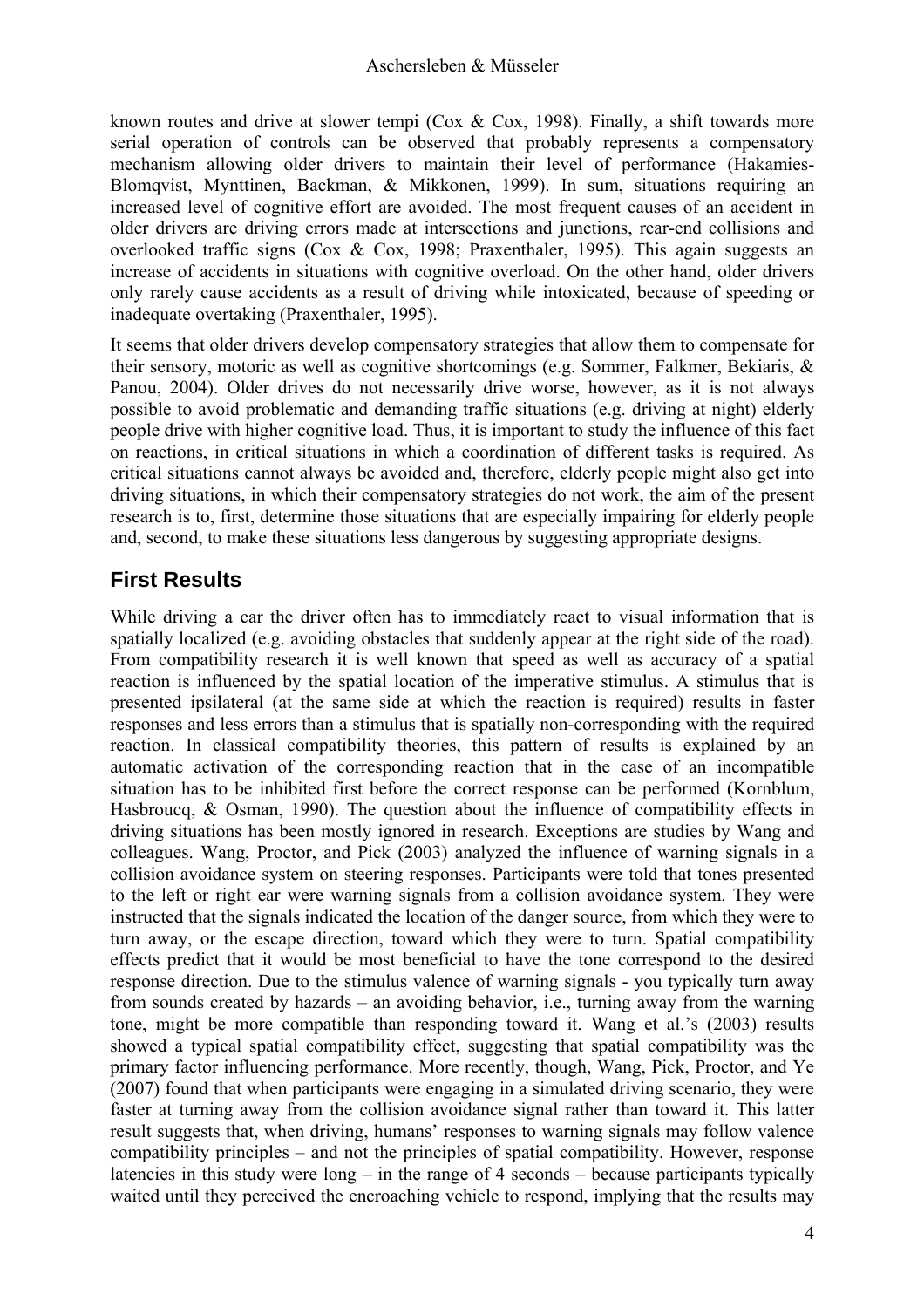known routes and drive at slower tempi (Cox & Cox, 1998). Finally, a shift towards more serial operation of controls can be observed that probably represents a compensatory mechanism allowing older drivers to maintain their level of performance (Hakamies-Blomqvist, Mynttinen, Backman, & Mikkonen, 1999). In sum, situations requiring an increased level of cognitive effort are avoided. The most frequent causes of an accident in older drivers are driving errors made at intersections and junctions, rear-end collisions and overlooked traffic signs (Cox & Cox, 1998; Praxenthaler, 1995). This again suggests an increase of accidents in situations with cognitive overload. On the other hand, older drivers only rarely cause accidents as a result of driving while intoxicated, because of speeding or inadequate overtaking (Praxenthaler, 1995).

It seems that older drivers develop compensatory strategies that allow them to compensate for their sensory, motoric as well as cognitive shortcomings (e.g. Sommer, Falkmer, Bekiaris, & Panou, 2004). Older drives do not necessarily drive worse, however, as it is not always possible to avoid problematic and demanding traffic situations (e.g. driving at night) elderly people drive with higher cognitive load. Thus, it is important to study the influence of this fact on reactions, in critical situations in which a coordination of different tasks is required. As critical situations cannot always be avoided and, therefore, elderly people might also get into driving situations, in which their compensatory strategies do not work, the aim of the present research is to, first, determine those situations that are especially impairing for elderly people and, second, to make these situations less dangerous by suggesting appropriate designs.

#### **First Results**

While driving a car the driver often has to immediately react to visual information that is spatially localized (e.g. avoiding obstacles that suddenly appear at the right side of the road). From compatibility research it is well known that speed as well as accuracy of a spatial reaction is influenced by the spatial location of the imperative stimulus. A stimulus that is presented ipsilateral (at the same side at which the reaction is required) results in faster responses and less errors than a stimulus that is spatially non-corresponding with the required reaction. In classical compatibility theories, this pattern of results is explained by an automatic activation of the corresponding reaction that in the case of an incompatible situation has to be inhibited first before the correct response can be performed (Kornblum, Hasbroucq, & Osman, 1990). The question about the influence of compatibility effects in driving situations has been mostly ignored in research. Exceptions are studies by Wang and colleagues. Wang, Proctor, and Pick (2003) analyzed the influence of warning signals in a collision avoidance system on steering responses. Participants were told that tones presented to the left or right ear were warning signals from a collision avoidance system. They were instructed that the signals indicated the location of the danger source, from which they were to turn away, or the escape direction, toward which they were to turn. Spatial compatibility effects predict that it would be most beneficial to have the tone correspond to the desired response direction. Due to the stimulus valence of warning signals - you typically turn away from sounds created by hazards – an avoiding behavior, i.e., turning away from the warning tone, might be more compatible than responding toward it. Wang et al.'s (2003) results showed a typical spatial compatibility effect, suggesting that spatial compatibility was the primary factor influencing performance. More recently, though, Wang, Pick, Proctor, and Ye (2007) found that when participants were engaging in a simulated driving scenario, they were faster at turning away from the collision avoidance signal rather than toward it. This latter result suggests that, when driving, humans' responses to warning signals may follow valence compatibility principles – and not the principles of spatial compatibility. However, response latencies in this study were  $\log -$  in the range of 4 seconds – because participants typically waited until they perceived the encroaching vehicle to respond, implying that the results may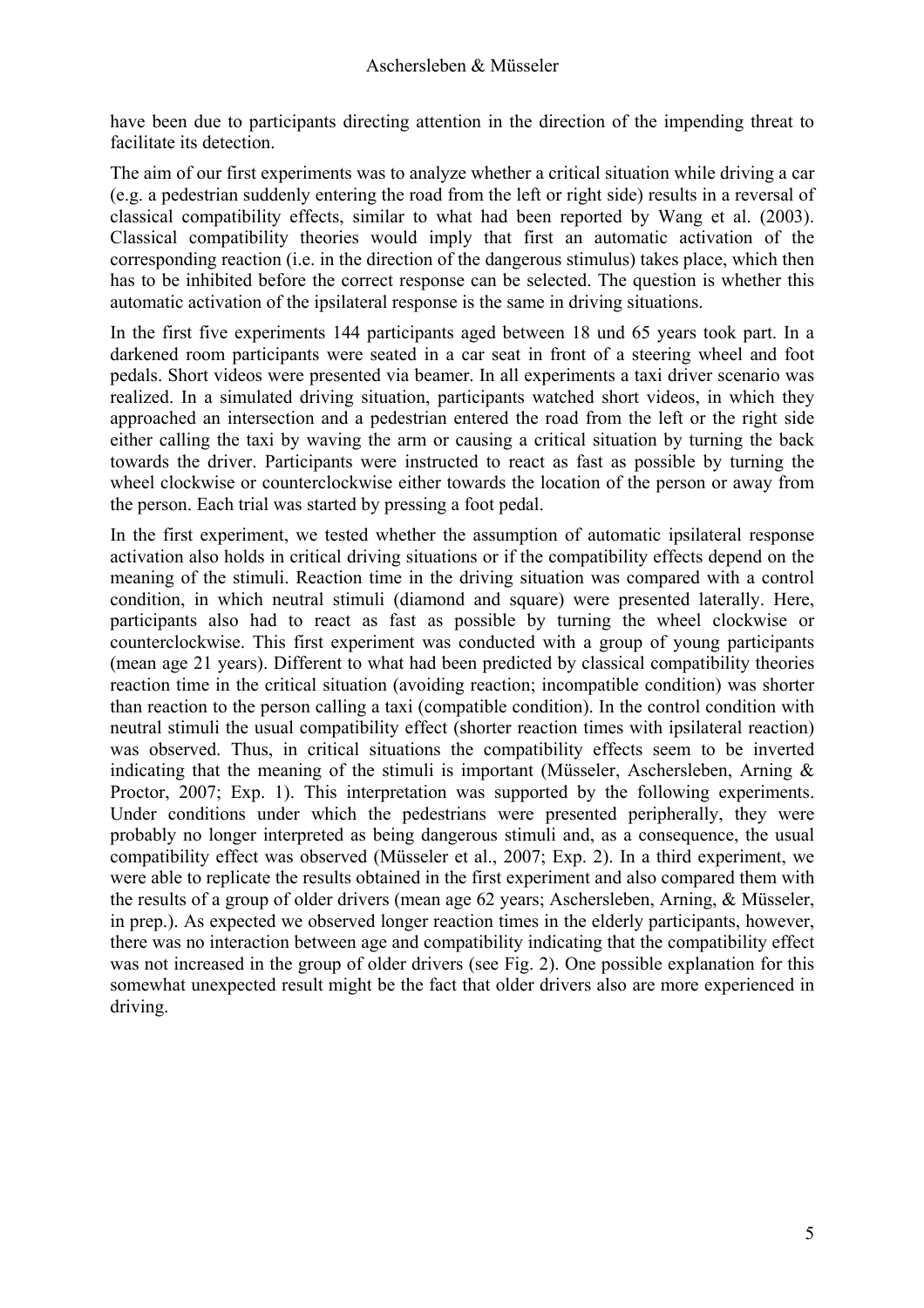have been due to participants directing attention in the direction of the impending threat to facilitate its detection.

The aim of our first experiments was to analyze whether a critical situation while driving a car (e.g. a pedestrian suddenly entering the road from the left or right side) results in a reversal of classical compatibility effects, similar to what had been reported by Wang et al. (2003). Classical compatibility theories would imply that first an automatic activation of the corresponding reaction (i.e. in the direction of the dangerous stimulus) takes place, which then has to be inhibited before the correct response can be selected. The question is whether this automatic activation of the ipsilateral response is the same in driving situations.

In the first five experiments 144 participants aged between 18 und 65 years took part. In a darkened room participants were seated in a car seat in front of a steering wheel and foot pedals. Short videos were presented via beamer. In all experiments a taxi driver scenario was realized. In a simulated driving situation, participants watched short videos, in which they approached an intersection and a pedestrian entered the road from the left or the right side either calling the taxi by waving the arm or causing a critical situation by turning the back towards the driver. Participants were instructed to react as fast as possible by turning the wheel clockwise or counterclockwise either towards the location of the person or away from the person. Each trial was started by pressing a foot pedal.

In the first experiment, we tested whether the assumption of automatic ipsilateral response activation also holds in critical driving situations or if the compatibility effects depend on the meaning of the stimuli. Reaction time in the driving situation was compared with a control condition, in which neutral stimuli (diamond and square) were presented laterally. Here, participants also had to react as fast as possible by turning the wheel clockwise or counterclockwise. This first experiment was conducted with a group of young participants (mean age 21 years). Different to what had been predicted by classical compatibility theories reaction time in the critical situation (avoiding reaction; incompatible condition) was shorter than reaction to the person calling a taxi (compatible condition). In the control condition with neutral stimuli the usual compatibility effect (shorter reaction times with ipsilateral reaction) was observed. Thus, in critical situations the compatibility effects seem to be inverted indicating that the meaning of the stimuli is important (Müsseler, Aschersleben, Arning  $\&$ Proctor, 2007; Exp. 1). This interpretation was supported by the following experiments. Under conditions under which the pedestrians were presented peripherally, they were probably no longer interpreted as being dangerous stimuli and, as a consequence, the usual compatibility effect was observed (Müsseler et al., 2007; Exp. 2). In a third experiment, we were able to replicate the results obtained in the first experiment and also compared them with the results of a group of older drivers (mean age 62 years; Aschersleben, Arning, & Müsseler, in prep.). As expected we observed longer reaction times in the elderly participants, however, there was no interaction between age and compatibility indicating that the compatibility effect was not increased in the group of older drivers (see Fig. 2). One possible explanation for this somewhat unexpected result might be the fact that older drivers also are more experienced in driving.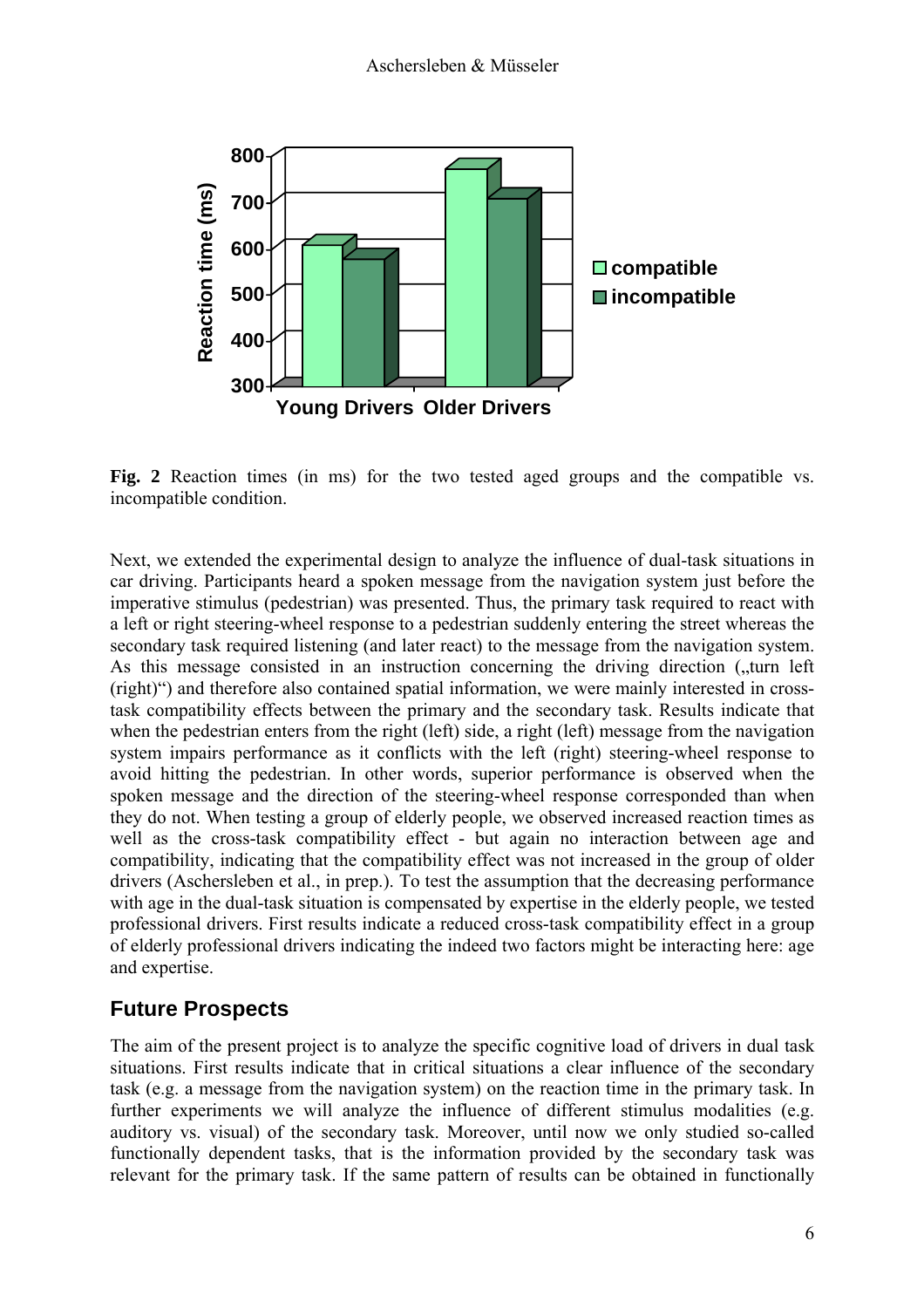

**Fig. 2** Reaction times (in ms) for the two tested aged groups and the compatible vs. incompatible condition.

Next, we extended the experimental design to analyze the influence of dual-task situations in car driving. Participants heard a spoken message from the navigation system just before the imperative stimulus (pedestrian) was presented. Thus, the primary task required to react with a left or right steering-wheel response to a pedestrian suddenly entering the street whereas the secondary task required listening (and later react) to the message from the navigation system. As this message consisted in an instruction concerning the driving direction ("turn left"). (right)") and therefore also contained spatial information, we were mainly interested in crosstask compatibility effects between the primary and the secondary task. Results indicate that when the pedestrian enters from the right (left) side, a right (left) message from the navigation system impairs performance as it conflicts with the left (right) steering-wheel response to avoid hitting the pedestrian. In other words, superior performance is observed when the spoken message and the direction of the steering-wheel response corresponded than when they do not. When testing a group of elderly people, we observed increased reaction times as well as the cross-task compatibility effect - but again no interaction between age and compatibility, indicating that the compatibility effect was not increased in the group of older drivers (Aschersleben et al., in prep.). To test the assumption that the decreasing performance with age in the dual-task situation is compensated by expertise in the elderly people, we tested professional drivers. First results indicate a reduced cross-task compatibility effect in a group of elderly professional drivers indicating the indeed two factors might be interacting here: age and expertise.

#### **Future Prospects**

The aim of the present project is to analyze the specific cognitive load of drivers in dual task situations. First results indicate that in critical situations a clear influence of the secondary task (e.g. a message from the navigation system) on the reaction time in the primary task. In further experiments we will analyze the influence of different stimulus modalities (e.g. auditory vs. visual) of the secondary task. Moreover, until now we only studied so-called functionally dependent tasks, that is the information provided by the secondary task was relevant for the primary task. If the same pattern of results can be obtained in functionally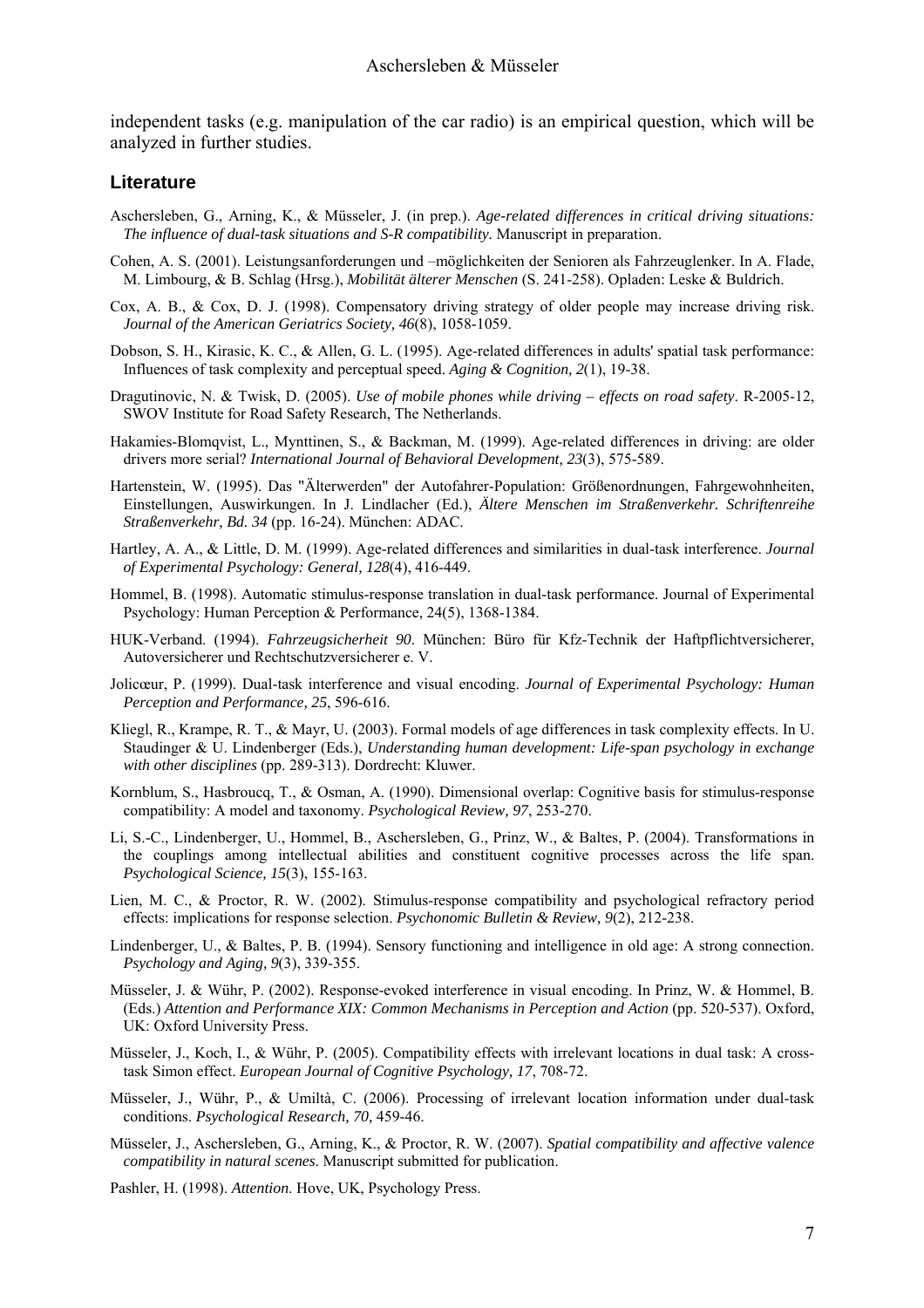independent tasks (e.g. manipulation of the car radio) is an empirical question, which will be analyzed in further studies.

#### **Literature**

- Aschersleben, G., Arning, K., & Müsseler, J. (in prep.). *Age-related differences in critical driving situations: The influence of dual-task situations and S-R compatibility.* Manuscript in preparation.
- Cohen, A. S. (2001). Leistungsanforderungen und –möglichkeiten der Senioren als Fahrzeuglenker. In A. Flade, M. Limbourg, & B. Schlag (Hrsg.), *Mobilität älterer Menschen* (S. 241-258). Opladen: Leske & Buldrich.
- Cox, A. B., & Cox, D. J. (1998). Compensatory driving strategy of older people may increase driving risk. *Journal of the American Geriatrics Society, 46*(8), 1058-1059.
- Dobson, S. H., Kirasic, K. C., & Allen, G. L. (1995). Age-related differences in adults' spatial task performance: Influences of task complexity and perceptual speed. *Aging & Cognition, 2*(1), 19-38.
- Dragutinovic, N. & Twisk, D. (2005). *Use of mobile phones while driving effects on road safety*. R-2005-12, SWOV Institute for Road Safety Research, The Netherlands.
- Hakamies-Blomqvist, L., Mynttinen, S., & Backman, M. (1999). Age-related differences in driving: are older drivers more serial? *International Journal of Behavioral Development, 23*(3), 575-589.
- Hartenstein, W. (1995). Das "Älterwerden" der Autofahrer-Population: Größenordnungen, Fahrgewohnheiten, Einstellungen, Auswirkungen. In J. Lindlacher (Ed.), *Ältere Menschen im Straßenverkehr. Schriftenreihe Straßenverkehr, Bd. 34* (pp. 16-24). München: ADAC.
- Hartley, A. A., & Little, D. M. (1999). Age-related differences and similarities in dual-task interference. *Journal of Experimental Psychology: General, 128*(4), 416-449.
- Hommel, B. (1998). Automatic stimulus-response translation in dual-task performance. Journal of Experimental Psychology: Human Perception & Performance, 24(5), 1368-1384.
- HUK-Verband. (1994). *Fahrzeugsicherheit 90*. München: Büro für Kfz-Technik der Haftpflichtversicherer, Autoversicherer und Rechtschutzversicherer e. V.
- Jolicœur, P. (1999). Dual-task interference and visual encoding. *Journal of Experimental Psychology: Human Perception and Performance, 25*, 596-616.
- Kliegl, R., Krampe, R. T., & Mayr, U. (2003). Formal models of age differences in task complexity effects. In U. Staudinger & U. Lindenberger (Eds.), *Understanding human development: Life-span psychology in exchange with other disciplines* (pp. 289-313). Dordrecht: Kluwer.
- Kornblum, S., Hasbroucq, T., & Osman, A. (1990). Dimensional overlap: Cognitive basis for stimulus-response compatibility: A model and taxonomy. *Psychological Review, 97*, 253-270.
- Li, S.-C., Lindenberger, U., Hommel, B., Aschersleben, G., Prinz, W., & Baltes, P. (2004). Transformations in the couplings among intellectual abilities and constituent cognitive processes across the life span. *Psychological Science, 15*(3), 155-163.
- Lien, M. C., & Proctor, R. W. (2002). Stimulus-response compatibility and psychological refractory period effects: implications for response selection. *Psychonomic Bulletin & Review, 9*(2), 212-238.
- Lindenberger, U., & Baltes, P. B. (1994). Sensory functioning and intelligence in old age: A strong connection. *Psychology and Aging, 9*(3), 339-355.
- Müsseler, J. & Wühr, P. (2002). Response-evoked interference in visual encoding. In Prinz, W. & Hommel, B. (Eds.) *Attention and Performance XIX: Common Mechanisms in Perception and Action* (pp. 520-537). Oxford, UK: Oxford University Press.
- Müsseler, J., Koch, I., & Wühr, P. (2005). Compatibility effects with irrelevant locations in dual task: A crosstask Simon effect. *European Journal of Cognitive Psychology, 17*, 708-72.
- Müsseler, J., Wühr, P., & Umiltà, C. (2006). Processing of irrelevant location information under dual-task conditions. *Psychological Research, 70,* 459-46.
- Müsseler, J., Aschersleben, G., Arning, K., & Proctor, R. W. (2007). *Spatial compatibility and affective valence compatibility in natural scenes*. Manuscript submitted for publication.
- Pashler, H. (1998). *Attention*. Hove, UK, Psychology Press.